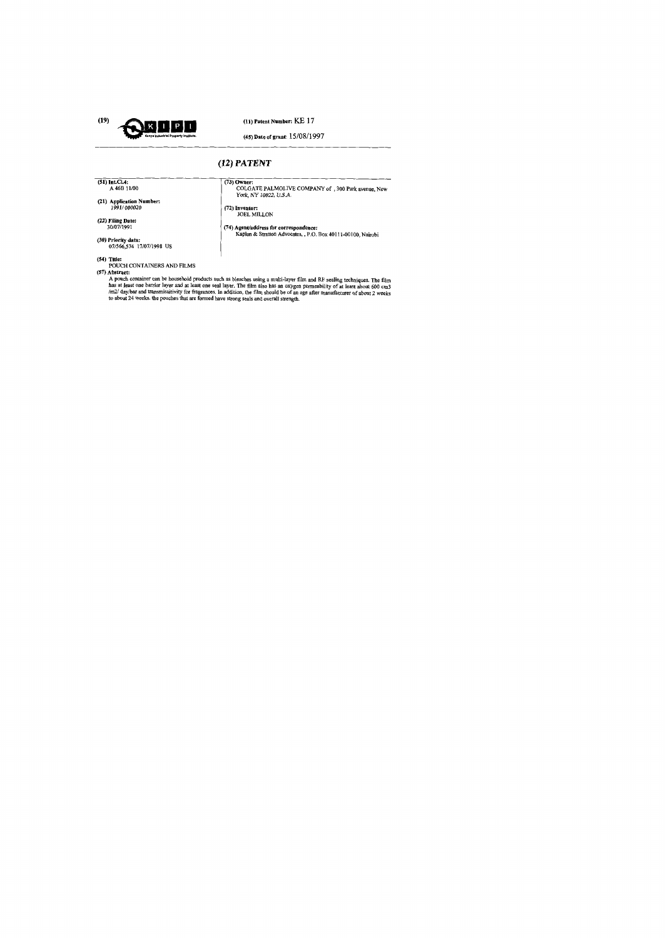

## (11) Patent Number: KE 17

# (45) Date of grant:  $15/08/1997$

| $(12)$ PATENT                   |                                                                               |
|---------------------------------|-------------------------------------------------------------------------------|
| $(51)$ Int.Cl.4:<br>A 46B 11/00 | $(73)$ Owner:                                                                 |
|                                 | COLGATE PALMOLIVE COMPANY of , 300 Park avenue. New<br>York, NY 10022, U.S.A. |
| (21) Application Number:        |                                                                               |
| 1991/000020                     | $(72)$ Inventor:                                                              |
|                                 | JOEL MILLON                                                                   |
| (22) Filing Date:               |                                                                               |
| 30/07/1991                      | (74) Agent/address for correspondence:                                        |
|                                 | Kaplan & Stratton Advocates, , P.O. Box 40111-00100. Nairobi                  |
| (30) Priority data:             |                                                                               |
| 07/566.574 17/07/1998 US        |                                                                               |
| $(54)$ Title:                   |                                                                               |
| DOLICU CONTAINERS AND ED MS     |                                                                               |

FOUCH CONTAINERS AND FILMS<br>
(57) Abstract:<br>
A pouch container can be household products such as bleaches using a multi-layer film and RF sealing techniques. The film<br>
A pouch container can be household products such as bl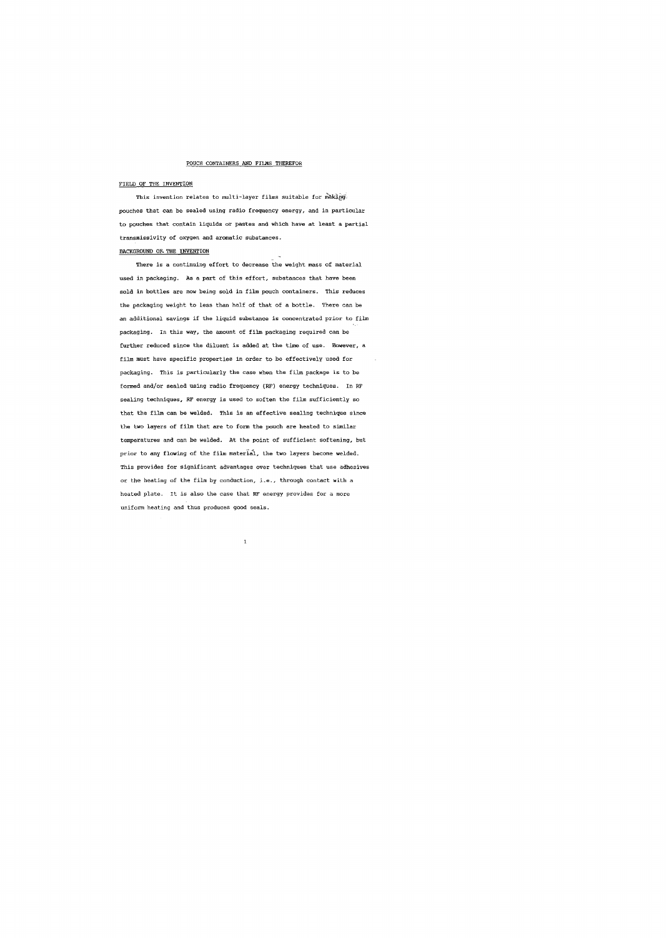#### POUCH CONTAINERS AND FILMS THEREFOR

#### FIELD OF THE INVENTION

This invention relates to multi-laver films suitable for making. pouches that can be sealed using radio frequency energy, and in particular to pouches that contain liquids or pastes and which have at least a partial transmissivity of oxygen and aromatic substances.

### BACKGROUND OF THE INVENTION

There is a continuing effort to decrease the weight mass of material used in packaging. As a part of this effort, substances that have been sold in bottles are now being sold in film pouch containers. This reduces the packaging weight to less than half of that of a bottle. There can be an additional savings if the lignid substance is concentrated prior to film packaging. In this way, the amount of film packaging required can be further reduced since the diluent is added at the time of use. However, a film must have specific properties in order to be effectively used for packaging. This is particularly the case when the film package is to be formed and/or sealed using radio frequency (RF) energy techniques. In RF sealing techniques, RF energy is used to soften the film sufficiently so that the film can be welded. This is an effective sealing technique since the two layers of film that are to form the pouch are heated to similar temperatures and can be welded. At the point of sufficient softening, but prior to any flowing of the film material, the two layers become welded. This provides for significant advantages over techniques that use adhesives or the heating of the film by conduction, i.e., through contact with a heated plate. It is also the case that RF energy provides for a more uniform heating and thus produces good seals.

 $\mathbf{1}$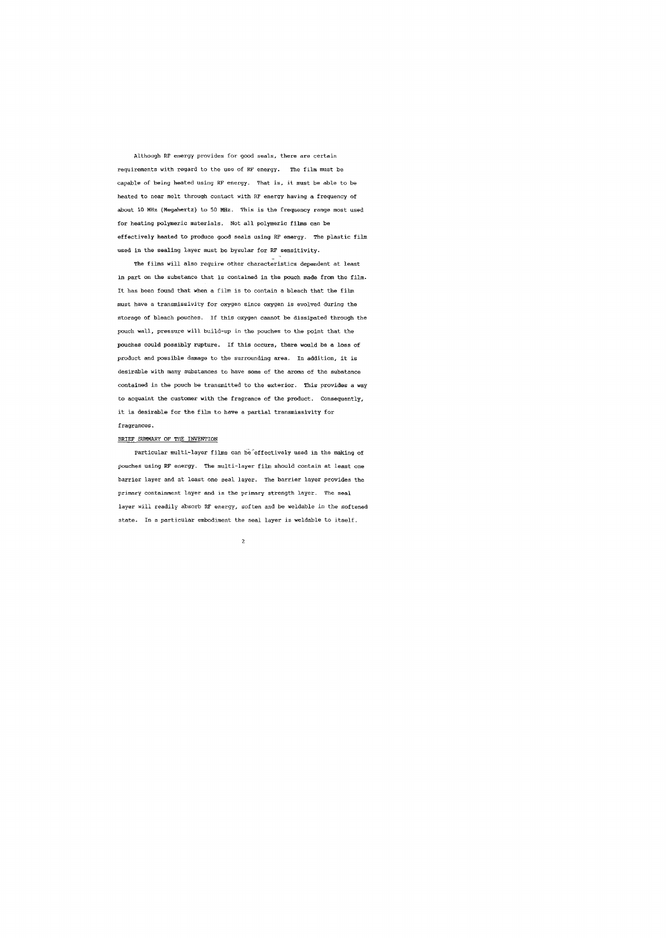Although RF energy provides for good seals, there are certain requirements with regard to the use of RF energy. The film must be capable of being heated using RF energy. That is, it must be able to be heated to near melt through contact with RF energy having a frequency of about 10 MHz (Megahertz) to 50 MHz. This is the frequency range most used for heating polymeric materials. Not all polymeric films can be effectively heated to produce good seals using RF energy. The plastic film used in the sealing layer must be bysular for RF sensitivity.

The films will also require other characteristics dependent at least ìn part on the substance that ìs contaìned in the pouch made from the film. It has been found that when a film is to contain a b1each that the film must have a transmissivity for oxygen since oxygen is evolved during the storage of bleach pouches. If this oxygen cannot be dìssipated through the pouch wall , pressure will build-up in the pouches to the point that the pouches could possibly rupture. If this occurs, there would be a loss of product and possible damage to the surrounding area. 1n addition, it is desirable with many substances to have some of the aroma of the substance contained in the pouch be transmitted to the exterior. This provides a way to acquaint the customer with the fragrance of the product. Consequently, it is desirahle for the film to have a partia1 transmissivity for fragrances.

#### BRIEF SUMMARY OF THE INVENTION

particular multi-layer films can be effectively used in the making of pouches using RF energy. The multi-1ayer film shou1d contain at least one barrier 1ayer and at 1east one seal layer. The barrier layer provides the primary containment 1ayer and is the primary strength layer. The sea1 layer will readily absorb RF energy, soften and be weldable in the softened state. In a particular embodiment the seal layer is weldable to itself.

 $\overline{2}$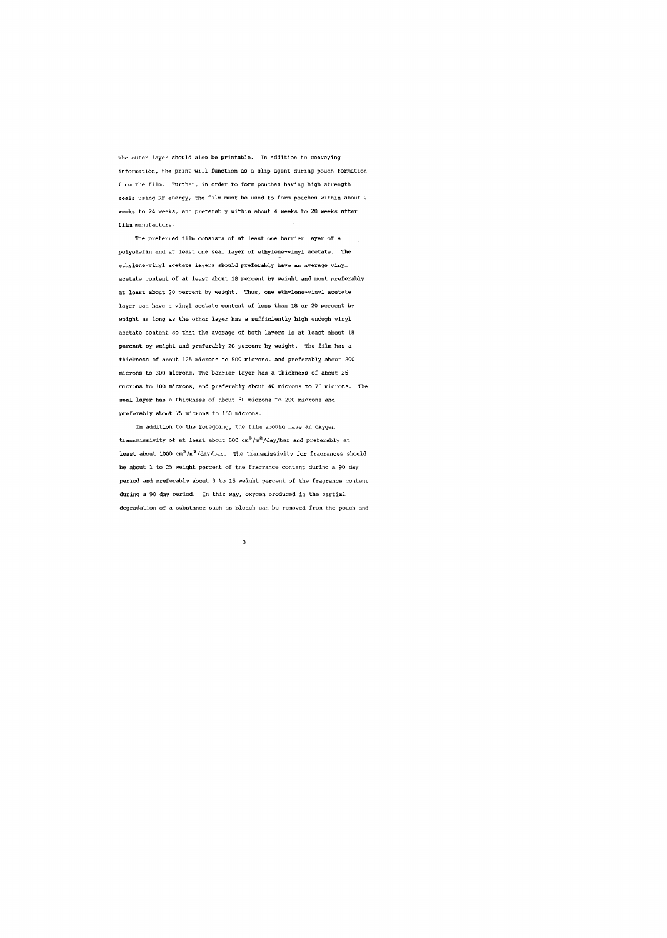The outer layer should also be printable. In addition to conveying information, the print will function as a slip agent during pouch formation from the film. Further, in order to form pouches having high strength seals using RF energy, the film must be used to form pouches within about 2 weeks to 24 weeks, and preferab1y within about 4 weeks to 20 weeks after film manufacture.

The preferred fi1m consists of at least one barrier layer of a polyolefin and at least one seal layer of ethylene-vinyl acetate. The ethylene-vinyl acetate layers should preferably have an average vinyl acetate content of at least about 18 percent by weight and most preferably at least about 20 percent by weight. Thus, one ethylene-vinyl acetate 1ayer can have a vinyl acetate content of 1ess than 18 or 20 percent by weight as long as the other layer has a sufficiently high enough vinyl acetate content so that the average of both layers is at least about 18 percent by weight and preferab1y 20 percent by weight. The fi1m has a thickness of about 125 microns to 500 microns, and preferably about 200 microns to 300 microns. The barrier layer has a thickness of about 25 microns to 100 microns, and preferably about 40 microns to 75 microns. The seal layer has a thickness of about 50 microns to 200 microns and preferably about 75 microns to 150 microns.

In addition to the foregoing, the film should have an oxygen transmissivity of at least about 600  $\text{cm}^3/\text{m}^2/\text{day}/\text{bar}$  and preferably at least about 1000  $\text{cm}^3/\text{m}^2/\text{day}/\text{bar}$ . The transmissivity for fragrances should be about 1 to 25 weight percent of the fragrance content during a 90 day period and preferably about 3 to 15 weight percent of the fragrance content during a 90 day period. In this way, oxygen produced in the partial degradation of a substance such as bleach can be removed from the pouch and

 $\overline{3}$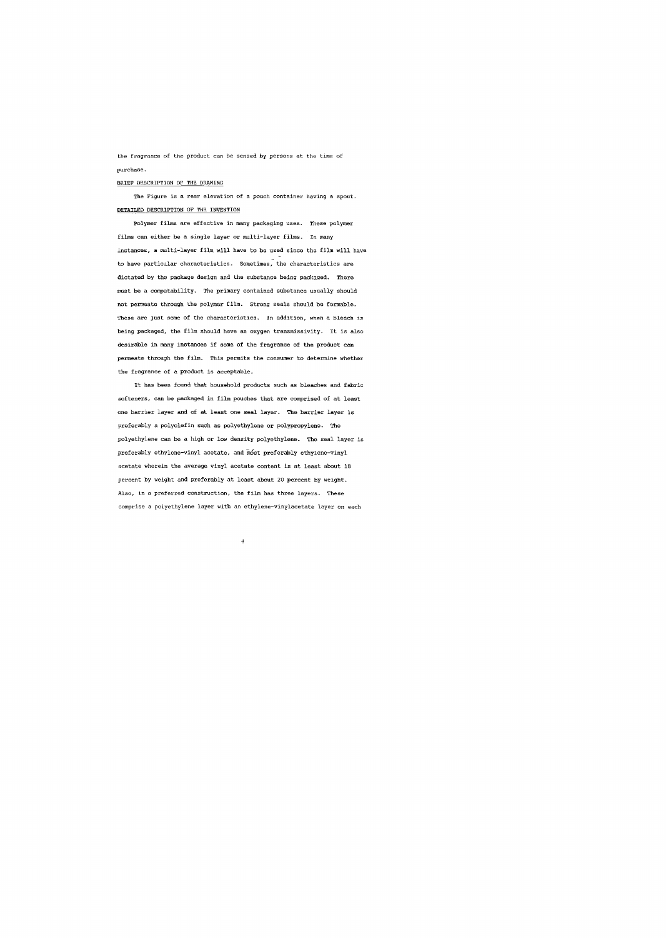the fragrance of thc product can be sensed by persons at the time of purchase.

BRIEF DESCRIPTION OF THE DRAWING

The Figure is a rear elevation of a pouch container having a spout. DETAILED DESCRIPTION OF THE INVENTION

polymer fi1ms are effective *in* many packaging uses. These polymer films can eìther be a sing1e 1ayer or multi-layer fi1ms. Io many *instances*, a multi-layer film will have to be used since the film will have *to have particular characteristics. Sometimes* , *the characteristics are*  dictated by the package design and the substance beìng packaged. There must be a compatability. The prìmary cootained substance usually should not permeate through the polymer film. Strong seals should be formable. These are just some of the characteristics. In addition, when a bleach is being packaged, the film should have an oxygen transmissivity. It is also desirable in many instances if some of the fragrance of the product can permeate through the fi1m. This permìts the consumer to determine whether the fragrance of a product is acceptab1e.

It has been found that household products such as bleaches and fabric softeners, can be packaged 1n fi1m pouches that are comprised of at least ne barrier layer and of at least one seal layer. The barrier layer 1s preferably a polyolefin such as polyethylene or polypropylene. The polyethylene can be a high or low density polyethylene. The seal layer i5  $\texttt{prefers}$ ethylene-vinyl acetate, and  $\hat{\texttt{most}}$  preferably ethylene-vinyl acetate wherein the average vinyl acetate content is at least about 18 percent by weight and preferably at least about 20 percent by weight. Also, in a preferred construction, the film has three layers. These comprise a polyethylene layer with an ethylene-vinylacetate layer on each

 $\overline{4}$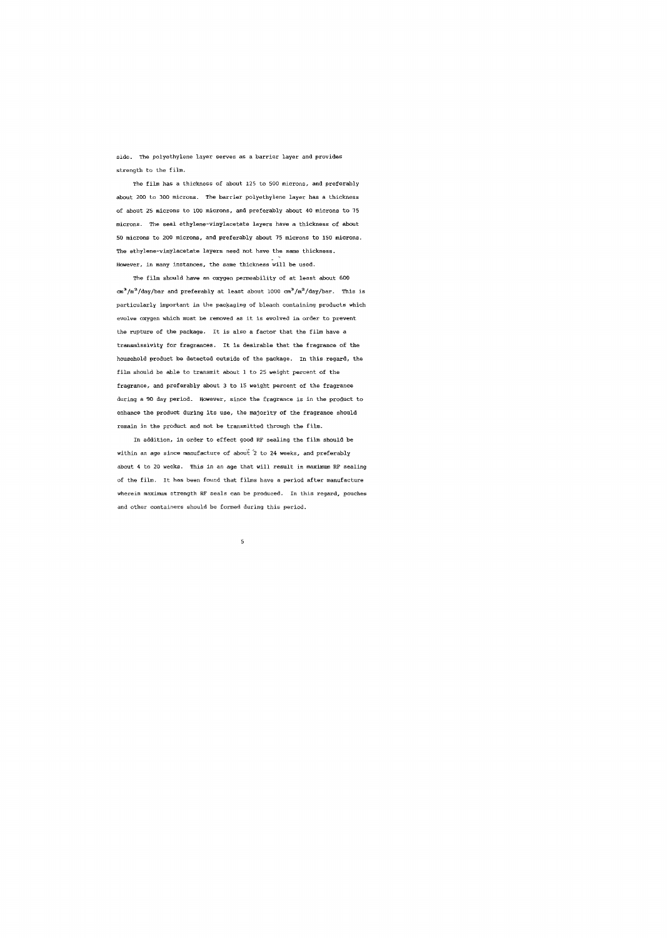side. The polyethylene layer serves as a barrier layer and provides strength to the film

The film has a thickness of about 125 to 500 microns, and preferably about 200 to 300 microns. The barrier polyethylene layer has a thickness of about 25 microns to 100 microns, and preferably about 40 microns to 75 microns. The seal ethylene-vinylacetate layers have a thickness of about 50 microns to 200 microns, and preferably about 75 microns to 150 microns. The ethylene-vinylacetate layers need not have the same thickness. However, in many instances, the same thickness will be used.

The film should have an oxygen permeability of at least about 600  $\text{cm}^3/\text{m}^2/\text{day}/\text{bar}$  and preferably at least about 1000  $\text{cm}^3/\text{m}^2/\text{day}/\text{bar}$ . This is particularly important in the packaging of bleach containing products which evolve oxygen which must be removed as it is evolved in order to prevent the rupture of the package. It 1s a1so a factor that the fìlm have a transmissivity for fragrances. 工 t is desirable that the fragrance of the household product be detected outside of the package. In this regard, the film should be able to transmit about 1 to 25 weight percent of the fragrance , and preferably about 3 to 15 weight percent of the fragrance during a 90 day period. However, since the fragrance is in the product to enhance the product during its use, the majority of the fragrance should remain in the product and not be transmitted through the film.

1n addition, in order to effect good RF sealing the film should be within an age since manufacture of about  $2$  to 24 weeks, and preferably about 4 to 20 weeks. This in an age that will result in maximwn RF sealing of the film. It has been found that films have a period after manufacture wherein maximum strength RF seals can be produced. In this regard, pouches and other containers should be formed during this period.

 $\overline{\mathbf{5}}$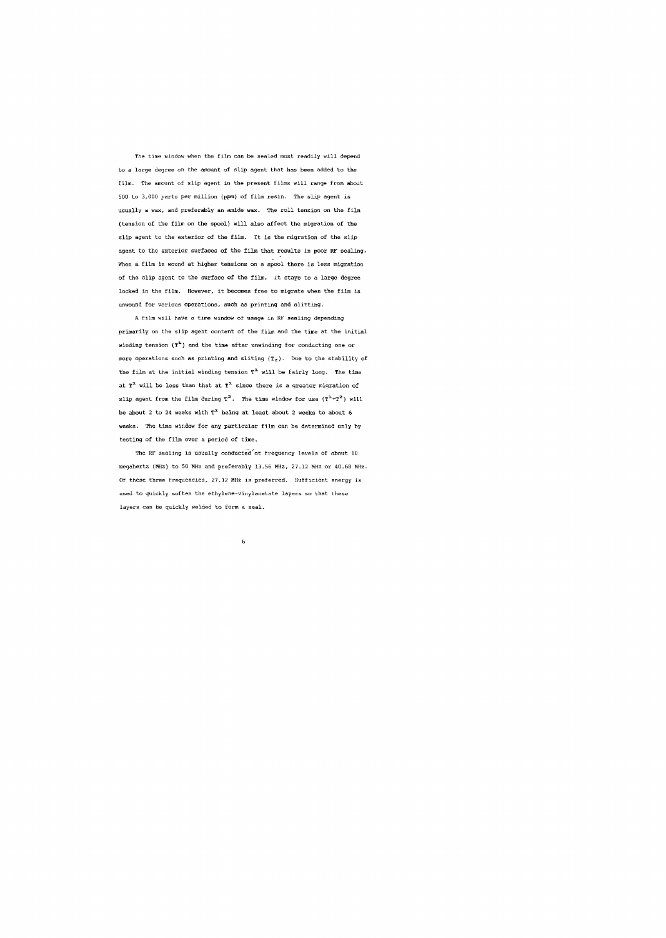The time window when the film can be sealed most readily will depend to a large degree on the arnount of slip agent that has been adðeð to the film. The amount of slip agent in the present films will range from about 500 to 3 , 000 parts per million (ppm) of film resin. The slip agent is usually a wax, and preferably an amide wax. The roll tension on the film (tension of the film on the spool) will a1so affect the migration of the slip agent to the exterior of the film. It is the migration of the slip agent to the exterior surfaces of the film that results in poor RF sealing. When a film is wound at higher tensions on a spool there is less migration of the slip agent to the surface of the film. It stays to a large degree locked in the film. However, it becomes free to migrate when the film is unwound for various operations, such as printing and slitting.

A film will have a time window of usage in RF sealing depending primarily on the slip agent content of the film and the time at the initial winding tension  $(T^1)$  and the time after unwinding for conducting one or more operations such as printing and sliting  $(T_2)$ . Due to the stability of the film at the initial winding tension  $T^1$  will be fairly long. The time at  $T^2$  will be less than that at  $T^1$  since there is a greater migration of slip agent from the film during  $T^2$ . The time window for use  $(T^1+T^2)$  will be about 2 to 24 weeks with  $T^2$  being at least about 2 weeks to about 6 weeks. The time window for any particular film can be determined only by testing of the fi1m over a period of time.

The RF sealing is usually conducted at frequency levels of about 10 megahertz (MHz) to SO MHz and preferably 13.56 MHz , 27.12 MHz or 40.68 MHz Of these three frequencies , 27.12 MHz is preferred. sufficient energy is used to quickly soften the ethy1ene-vinylacetate layers so that these layers can be quick1y welded to form a seal.

 $\epsilon$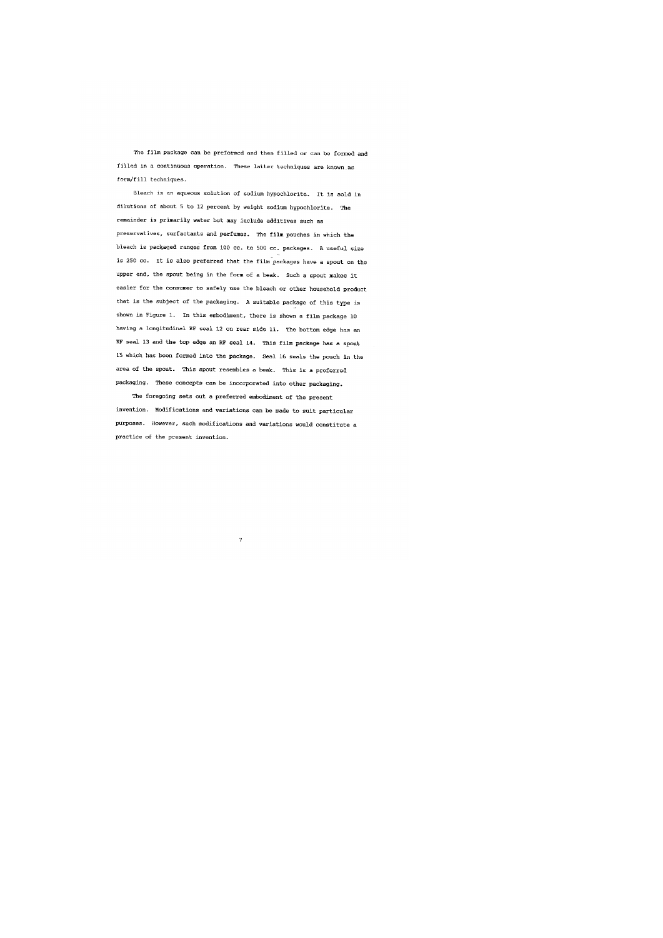The film package can be preformed and then filled or can be formed and filled in a continuous operation. These latter techniques are known as form/fill techniques.

Bleach is an aqueous solution of sodium hypochlorite. It is sold in dilutions of about 5 to 12 percent by weight sodium hypochlorite. The remainder is primarily water but may include additives such as preservatives, surfactants and perfumes. The film pouches in which the bleach is packaged ranges from 100 cc. to 500 cc. packages. A useful size is 250 cc. It is also preferred that the film packages have a spout on the upper end, the spout being in the form of a beak. Such a spout makes it easier for the consumer to safely use the bleach or other household product that is the subject of the packaging. A suitable package of this type is shown in Figure 1. In this embodiment, there is shown a film package 10 having a longitudinal RF seal 12 on rear side 11. The bottom edge has an RF seal 13 and the top edge an RF seal 14. This film package has a spout 15 which has been formed into the package. Seal 16 seals the pouch in the area of the spout. This spout resembles a beak. This is a preferred packaging. These concepts can be incorporated into other packaging.

The foregoing sets out a preferred embodiment of the present invention. Modifications and variations can be made to suit particular purposes. However, such modifications and variations would constitute a practice of the present invention.

 $\bar{7}$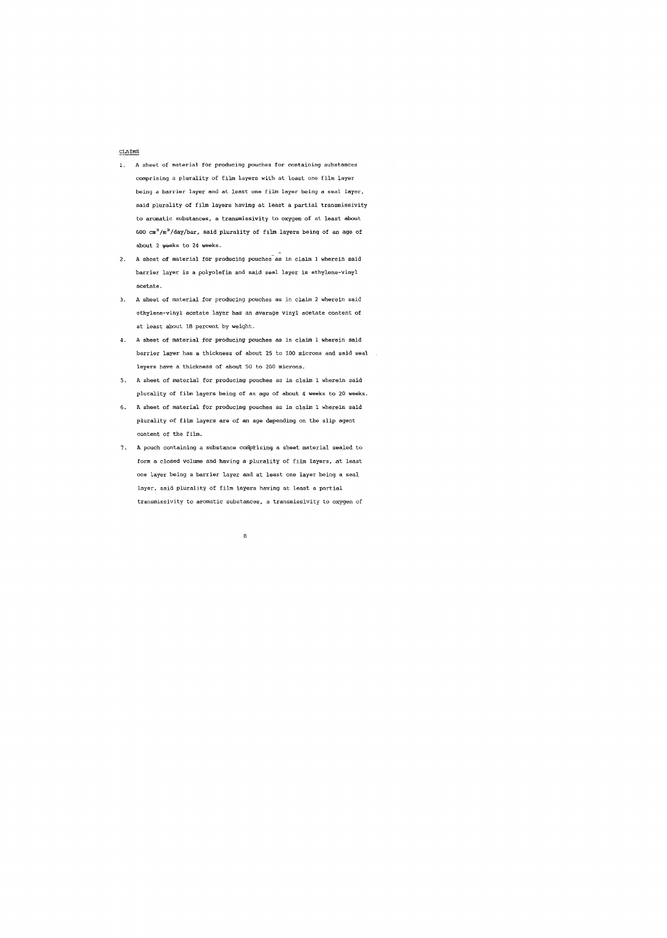#### CLAIMS

- 1. A sheet of material for producing pouches for containing substances comprising a plurality of film layers with at least one film layer being a barrier layer and at least one film layer being a seal layer, said plurality of fi1m 1ayers having at least a partial transmissivity to aromatic suhstances, a transmissivity to oxygen of at least about 600 cm<sup>3</sup>/m<sup>2</sup>/day/bar, said plurality of film layers being of an age of about 2 weeks to 24 weeks.
- 2. A sheet of material for producing pouches as in claim 1 wherein said barrier layer is a polyolefin and said seal layer is ethylene-vinyl acetate
- 3. A sheet of materia1 for producing pouches as in claim 2 wherein said ethylene-viny1 acetate layer has an average vinyl acetate content of at 1east about 18 percent by weight.
- 4. A sheet of material for producing pouches as io claim 1 wherein said barrier layer has a thickness of about 25 to 100 microns and said seal layers have a thickness of about 50 to 200 microns.
- 5. A sheet of material for producing pouches as in claim 1 wherein said plurality of fi1m layers being of an age of about 4 weeks to 20 weeks
- 6. A sheet of material for producing pouches as in claim 1 wherein said plurality of film layers are of an age depending on the slip agent content of the film.
- 7. A pouch containing a substance comprising a sheet material sealed to form a closed voltune and having a plurality of film layers, at least one layer being a barrier layer and at least one layer being a seal layer, said plurality of film layers having at least a partial transmissivity to aromatic substances, a transmissivity to oxygen of

 $\mathbf{a}$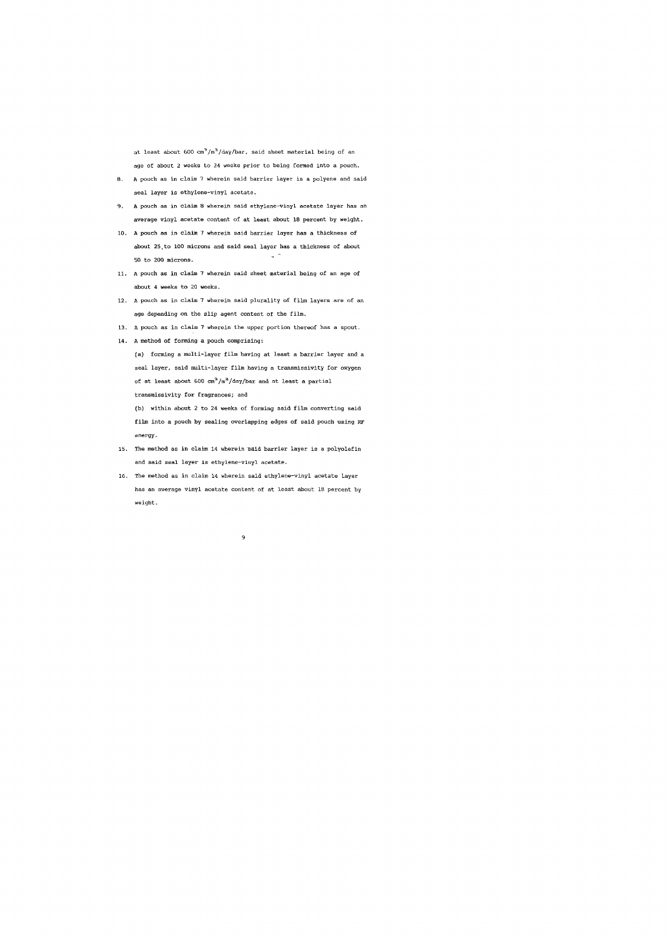at least about 600  $\text{cm}^3/\text{m}^2/\text{day}/\text{bar}$ , said sheet material being of an age of about 2 weeks to 24 weeks prior to being formed into a pouch.

- 8. A pouch as in claim 7 wherein said barrier layer is a polyene and said seal layer is ethylene-vinyl acetate.
- 9. A pouch as ìn claìm 8 whereìn said ethylene-vìnyl acetate layer has an average vìnyl acetate content of at least about 18 percent by weight
- 10. A pouch as in claim 7 wherein said barrier layer has a thickness of about 25 to 100 microns and said seal layer has a thickness of about 50 to 200 micron5.
- 11. A pouch as in claim 7 wherein said sheet material being of an age of about 4 weeks to 20 weeks.
- 12. A pouch as in claim 7 wherein said plurality of film layers are of an age dependìng on the slìp agent content of the fi1m.
- 13. A pouch as in claim 7 wherein the upper portion thereof has a 5pout.
- 14. A method of forming a pouch comprising:

(a) forming a multi-layer film having at least a barrier layer and a seal layer, said multi-layer film having a transmissivity for oxygen of at least about 600  $\rm cm^3/\rm m^2/day/bar$  and at least a partial transmissivity for fragrance5; and

(b) within about 2 to 24 weeks of forming said fi1m converting said

film into a pouch by sealing overlapping edges of said pouch using RF energy

- 15. The method as in claim 14 wherein såid barrier layer is a po!yolefin and said seal layer is ethylene-vinyl acetate.
- 16. The method as in claim 14 wherein said ethylene-vinyl acetate layer has an average vinyl acetate content of at least about 18 percent by weight.

 $\overline{9}$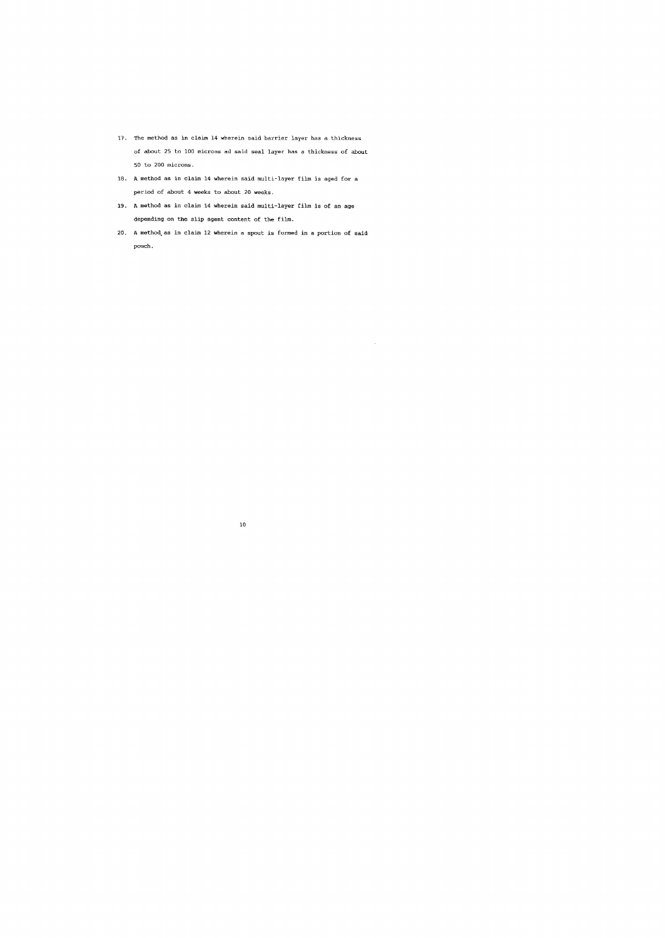- 17. The method as in claim 14 wherein said barrier layer has a thickness about 25 to 100 microns ad said seal layer has a thickness of about 50 to 200 microns
- 18. A method as in claim 14 wherein said rnulti-layer film *is* aged for a per iod of about 4 weeks to about 20 weeks.
- 19. A method as in claim 14 wherein said multi-layer fi1m 1s of an age depending on the slip agent content of the film.
- 20. A method as in claim 12 wherein a spout is formed in a portion of said pouch.

10